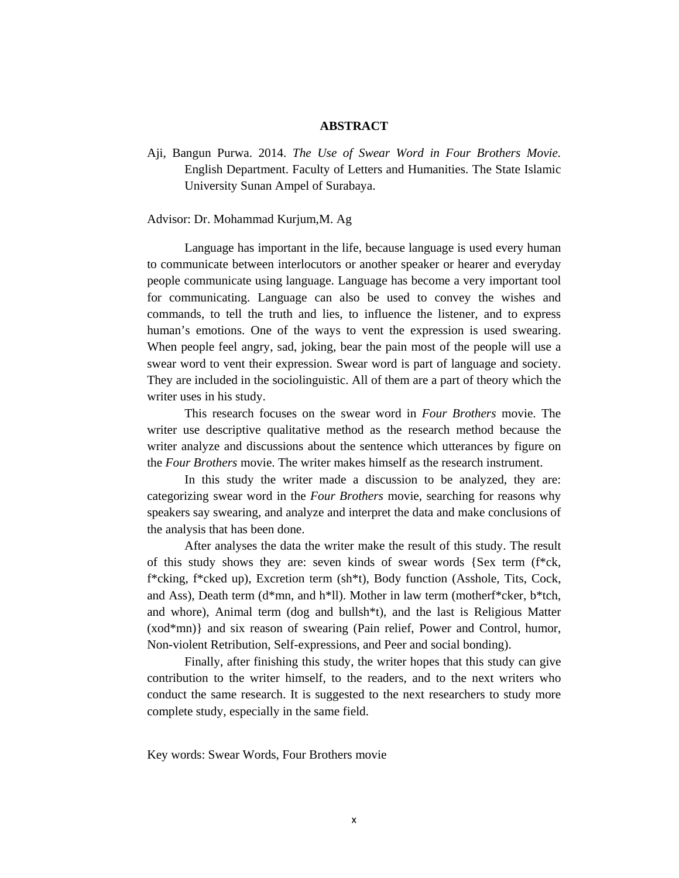## **ABSTRACT**

Aji, Bangun Purwa. 2014. *The Use of Swear Word in Four Brothers Movie.*  English Department. Faculty of Letters and Humanities. The State Islamic University Sunan Ampel of Surabaya.

## Advisor: Dr. Mohammad Kurjum,M. Ag

 Language has important in the life, because language is used every human to communicate between interlocutors or another speaker or hearer and everyday people communicate using language. Language has become a very important tool for communicating. Language can also be used to convey the wishes and commands, to tell the truth and lies, to influence the listener, and to express human's emotions. One of the ways to vent the expression is used swearing. When people feel angry, sad, joking, bear the pain most of the people will use a swear word to vent their expression. Swear word is part of language and society. They are included in the sociolinguistic. All of them are a part of theory which the writer uses in his study.

 This research focuses on the swear word in *Four Brothers* movie. The writer use descriptive qualitative method as the research method because the writer analyze and discussions about the sentence which utterances by figure on the *Four Brothers* movie. The writer makes himself as the research instrument.

 In this study the writer made a discussion to be analyzed, they are: categorizing swear word in the *Four Brothers* movie, searching for reasons why speakers say swearing, and analyze and interpret the data and make conclusions of the analysis that has been done.

 After analyses the data the writer make the result of this study. The result of this study shows they are: seven kinds of swear words {Sex term (f\*ck, f\*cking, f\*cked up), Excretion term (sh\*t), Body function (Asshole, Tits, Cock, and Ass), Death term (d\*mn, and h\*ll). Mother in law term (motherf\*cker, b\*tch, and whore), Animal term (dog and bullsh $*$ t), and the last is Religious Matter (xod\*mn)} and six reason of swearing (Pain relief, Power and Control, humor, Non-violent Retribution, Self-expressions, and Peer and social bonding).

 Finally, after finishing this study, the writer hopes that this study can give contribution to the writer himself, to the readers, and to the next writers who conduct the same research. It is suggested to the next researchers to study more complete study, especially in the same field.

Key words: Swear Words, Four Brothers movie